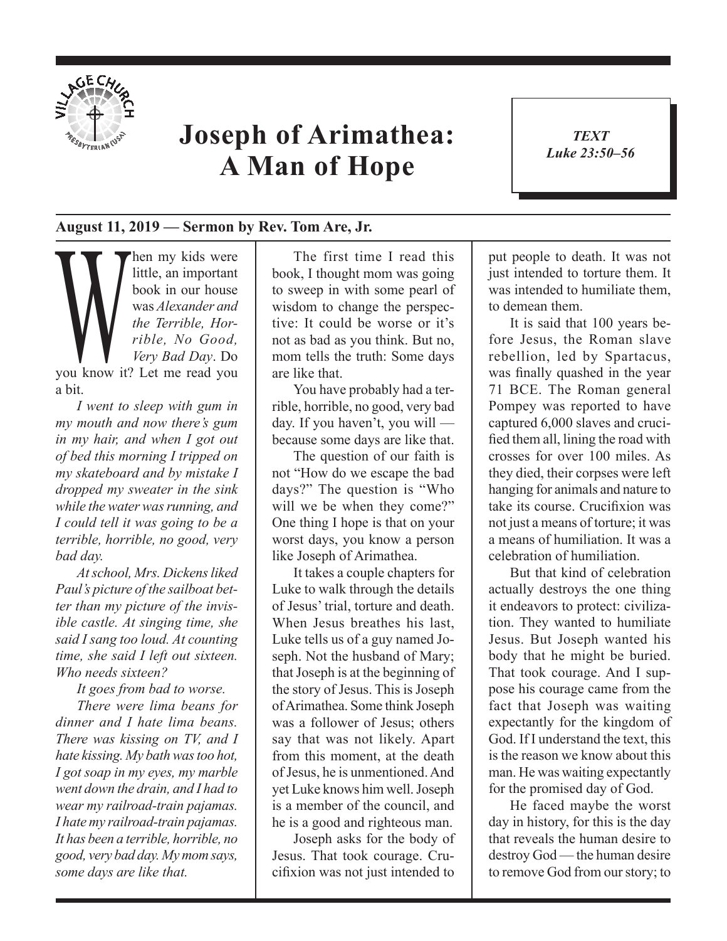

## **Joseph of Arimathea: A Man of Hope**

*TEXT Luke 23:50–56* 1

## **August 11, 2019 — Sermon by Rev. Tom Are, Jr.**

Then my kids were<br>
little, an important<br>
book in our house<br>
was Alexander and<br>
the Terrible, Hor-<br>
rible, No Good,<br>
Very Bad Day. Do<br>
you know it? Let me read you little, an important book in our house was *Alexander and the Terrible, Horrible, No Good, Very Bad Day*. Do a bit.

*I went to sleep with gum in my mouth and now there's gum in my hair, and when I got out of bed this morning I tripped on my skateboard and by mistake I dropped my sweater in the sink while the water was running, and I could tell it was going to be a terrible, horrible, no good, very bad day.* 

*At school, Mrs. Dickens liked Paul's picture of the sailboat better than my picture of the invisible castle. At singing time, she said I sang too loud. At counting time, she said I left out sixteen. Who needs sixteen?* 

*It goes from bad to worse. There were lima beans for dinner and I hate lima beans. There was kissing on TV, and I hate kissing. My bath was too hot, I got soap in my eyes, my marble went down the drain, and I had to wear my railroad-train pajamas. I hate my railroad-train pajamas. It has been a terrible, horrible, no good, very bad day. My mom says, some days are like that.* 

The first time I read this book, I thought mom was going to sweep in with some pearl of wisdom to change the perspective: It could be worse or it's not as bad as you think. But no, mom tells the truth: Some days are like that.

You have probably had a terrible, horrible, no good, very bad day. If you haven't, you will because some days are like that.

The question of our faith is not "How do we escape the bad days?" The question is "Who will we be when they come?" One thing I hope is that on your worst days, you know a person like Joseph of Arimathea.

It takes a couple chapters for Luke to walk through the details of Jesus' trial, torture and death. When Jesus breathes his last, Luke tells us of a guy named Joseph. Not the husband of Mary; that Joseph is at the beginning of the story of Jesus. This is Joseph of Arimathea. Some think Joseph was a follower of Jesus; others say that was not likely. Apart from this moment, at the death of Jesus, he is unmentioned. And yet Luke knows him well. Joseph is a member of the council, and he is a good and righteous man.

Joseph asks for the body of Jesus. That took courage. Crucifixion was not just intended to

put people to death. It was not just intended to torture them. It was intended to humiliate them. to demean them.

It is said that 100 years before Jesus, the Roman slave rebellion, led by Spartacus, was finally quashed in the year 71 BCE. The Roman general Pompey was reported to have captured 6,000 slaves and crucified them all, lining the road with crosses for over 100 miles. As they died, their corpses were left hanging for animals and nature to take its course. Crucifixion was not just a means of torture; it was a means of humiliation. It was a celebration of humiliation.

But that kind of celebration actually destroys the one thing it endeavors to protect: civilization. They wanted to humiliate Jesus. But Joseph wanted his body that he might be buried. That took courage. And I suppose his courage came from the fact that Joseph was waiting expectantly for the kingdom of God. If I understand the text, this is the reason we know about this man. He was waiting expectantly for the promised day of God.

He faced maybe the worst day in history, for this is the day that reveals the human desire to destroy God — the human desire to remove God from our story; to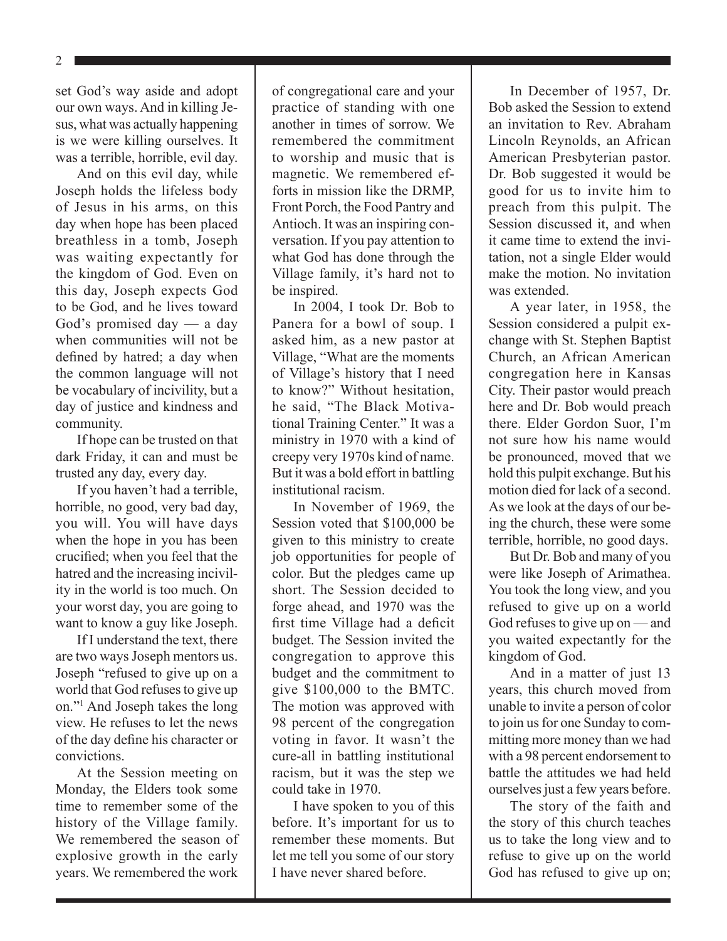set God's way aside and adopt our own ways. And in killing Jesus, what was actually happening is we were killing ourselves. It was a terrible, horrible, evil day.

And on this evil day, while Joseph holds the lifeless body of Jesus in his arms, on this day when hope has been placed breathless in a tomb, Joseph was waiting expectantly for the kingdom of God. Even on this day, Joseph expects God to be God, and he lives toward God's promised day — a day when communities will not be defined by hatred; a day when the common language will not be vocabulary of incivility, but a day of justice and kindness and community.

If hope can be trusted on that dark Friday, it can and must be trusted any day, every day.

If you haven't had a terrible, horrible, no good, very bad day, you will. You will have days when the hope in you has been crucified; when you feel that the hatred and the increasing incivility in the world is too much. On your worst day, you are going to want to know a guy like Joseph.

If I understand the text, there are two ways Joseph mentors us. Joseph "refused to give up on a world that God refuses to give up on."1 And Joseph takes the long view. He refuses to let the news of the day define his character or convictions.

At the Session meeting on Monday, the Elders took some time to remember some of the history of the Village family. We remembered the season of explosive growth in the early years. We remembered the work of congregational care and your practice of standing with one another in times of sorrow. We remembered the commitment to worship and music that is magnetic. We remembered efforts in mission like the DRMP, Front Porch, the Food Pantry and Antioch. It was an inspiring conversation. If you pay attention to what God has done through the Village family, it's hard not to be inspired.

In 2004, I took Dr. Bob to Panera for a bowl of soup. I asked him, as a new pastor at Village, "What are the moments of Village's history that I need to know?" Without hesitation, he said, "The Black Motivational Training Center." It was a ministry in 1970 with a kind of creepy very 1970s kind of name. But it was a bold effort in battling institutional racism.

In November of 1969, the Session voted that \$100,000 be given to this ministry to create job opportunities for people of color. But the pledges came up short. The Session decided to forge ahead, and 1970 was the first time Village had a deficit budget. The Session invited the congregation to approve this budget and the commitment to give \$100,000 to the BMTC. The motion was approved with 98 percent of the congregation voting in favor. It wasn't the cure-all in battling institutional racism, but it was the step we could take in 1970.

I have spoken to you of this before. It's important for us to remember these moments. But let me tell you some of our story I have never shared before.

In December of 1957, Dr. Bob asked the Session to extend an invitation to Rev. Abraham Lincoln Reynolds, an African American Presbyterian pastor. Dr. Bob suggested it would be good for us to invite him to preach from this pulpit. The Session discussed it, and when it came time to extend the invitation, not a single Elder would make the motion. No invitation was extended

A year later, in 1958, the Session considered a pulpit exchange with St. Stephen Baptist Church, an African American congregation here in Kansas City. Their pastor would preach here and Dr. Bob would preach there. Elder Gordon Suor, I'm not sure how his name would be pronounced, moved that we hold this pulpit exchange. But his motion died for lack of a second. As we look at the days of our being the church, these were some terrible, horrible, no good days.

But Dr. Bob and many of you were like Joseph of Arimathea. You took the long view, and you refused to give up on a world God refuses to give up on — and you waited expectantly for the kingdom of God.

And in a matter of just 13 years, this church moved from unable to invite a person of color to join us for one Sunday to committing more money than we had with a 98 percent endorsement to battle the attitudes we had held ourselves just a few years before.

The story of the faith and the story of this church teaches us to take the long view and to refuse to give up on the world God has refused to give up on;